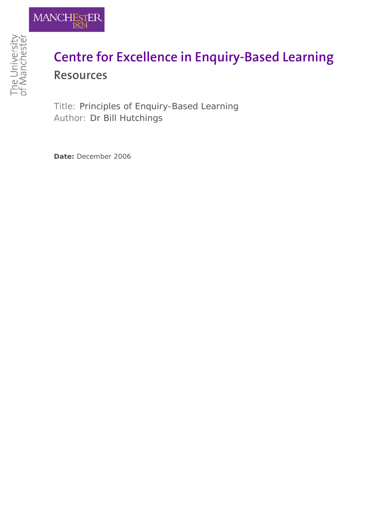

## **Centre for Excellence in Enquiry-Based Learning Resources**

Title: Principles of Enquiry-Based Learning Author: Dr Bill Hutchings

**Date:** December 2006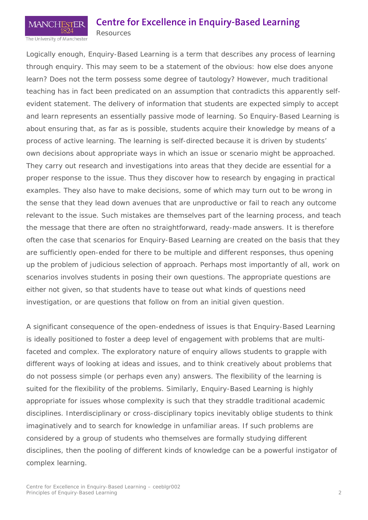## **Centre for Excellence in Enquiry-Based Learning**

The University of Manchester

**MANCHI** 

Resources

Logically enough, Enquiry-Based Learning is a term that describes any process of learning through enquiry. This may seem to be a statement of the obvious: how else does anyone learn? Does not the term possess some degree of tautology? However, much traditional teaching has in fact been predicated on an assumption that contradicts this apparently selfevident statement. The delivery of information that students are expected simply to accept and learn represents an essentially passive mode of learning. So Enquiry-Based Learning is about ensuring that, as far as is possible, students acquire their knowledge by means of a process of active learning. The learning is self-directed because it is driven by students' own decisions about appropriate ways in which an issue or scenario might be approached. They carry out research and investigations into areas that they decide are essential for a proper response to the issue. Thus they discover *how* to research by engaging in practical examples. They also have to make decisions, some of which may turn out to be wrong in the sense that they lead down avenues that are unproductive or fail to reach any outcome relevant to the issue. Such mistakes are themselves part of the learning process, and teach the message that there are often no straightforward, ready-made answers. It is therefore often the case that scenarios for Enquiry-Based Learning are created on the basis that they are sufficiently open-ended for there to be multiple and different responses, thus opening up the problem of judicious selection of approach. Perhaps most importantly of all, work on scenarios involves students in posing their own questions. The appropriate questions are either not given, so that students have to tease out what kinds of questions need investigation, or are questions that follow on from an initial given question.

A significant consequence of the open-endedness of issues is that Enquiry-Based Learning is ideally positioned to foster a deep level of engagement with problems that are multifaceted and complex. The exploratory nature of enquiry allows students to grapple with different ways of looking at ideas and issues, and to think creatively about problems that do not possess simple (or perhaps even any) answers. The flexibility of the learning is suited for the flexibility of the problems. Similarly, Enquiry-Based Learning is highly appropriate for issues whose complexity is such that they straddle traditional academic disciplines. Interdisciplinary or cross-disciplinary topics inevitably oblige students to think imaginatively and to search for knowledge in unfamiliar areas. If such problems are considered by a group of students who themselves are formally studying different disciplines, then the pooling of different kinds of knowledge can be a powerful instigator of complex learning.